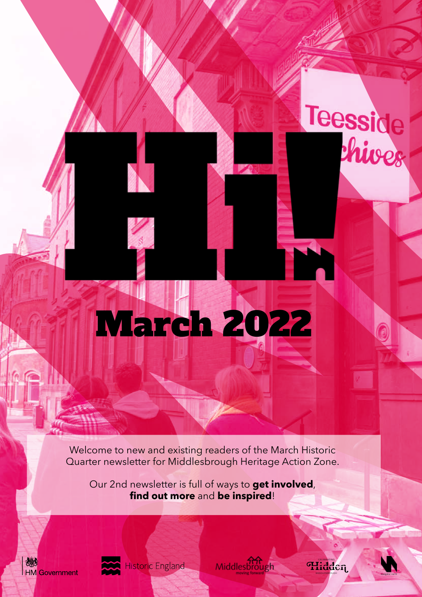Welcome to new and existing readers of the March Historic Quarter newsletter for Middlesbrough Heritage Action Zone.

March 2022

Our 2nd newsletter is full of ways to **get involved**, **find out more** and **be inspired**!





**Historic England** 

Middlesbrough

**GELEBRATING** 

Teesside<br>Shives

T.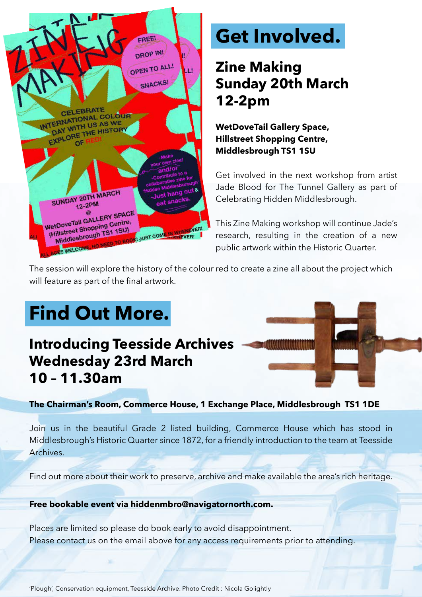

# **Get Involved.**

## **Zine Making Sunday 20th March 12-2pm**

**WetDoveTail Gallery Space, Hillstreet Shopping Centre, Middlesbrough TS1 1SU**

Get involved in the next workshop from artist Jade Blood for The Tunnel Gallery as part of Celebrating Hidden Middlesbrough.

This Zine Making workshop will continue Jade's research, resulting in the creation of a new public artwork within the Historic Quarter.

The session will explore the history of the colour red to create a zine all about the project which will feature as part of the final artwork.

# **Find Out More.**

### **Introducing Teesside Archives Wednesday 23rd March 10 – 11.30am**



**The Chairman's Room, Commerce House, 1 Exchange Place, Middlesbrough TS1 1DE**

Join us in the beautiful Grade 2 listed building, Commerce House which has stood in Middlesbrough's Historic Quarter since 1872, for a friendly introduction to the team at Teesside Archives.

Find out more about their work to preserve, archive and make available the area's rich heritage.

#### **Free bookable event via hiddenmbro@navigatornorth.com.**

Places are limited so please do book early to avoid disappointment. Please contact us on the email above for any access requirements prior to attending.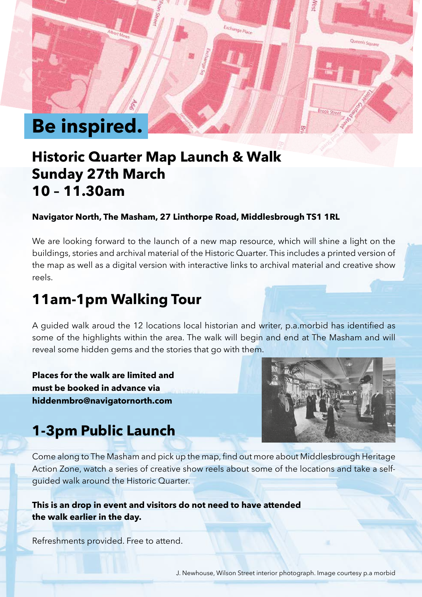

#### **Historic Quarter Map Launch & Walk Sunday 27th March 10 – 11.30am**

#### **Navigator North, The Masham, 27 Linthorpe Road, Middlesbrough TS1 1RL**

We are looking forward to the launch of a new map resource, which will shine a light on the buildings, stories and archival material of the Historic Quarter. This includes a printed version of the map as well as a digital version with interactive links to archival material and creative show reels.

### **11am-1pm Walking Tour**

A guided walk aroud the 12 locations local historian and writer, p.a.morbid has identified as some of the highlights within the area. The walk will begin and end at The Masham and will reveal some hidden gems and the stories that go with them.

**Places for the walk are limited and must be booked in advance via hiddenmbro@navigatornorth.com**



Queen's c.

#### **1-3pm Public Launch**

Come along to The Masham and pick up the map, find out more about Middlesbrough Heritage Action Zone, watch a series of creative show reels about some of the locations and take a selfguided walk around the Historic Quarter.

#### **This is an drop in event and visitors do not need to have attended the walk earlier in the day.**

Refreshments provided. Free to attend.